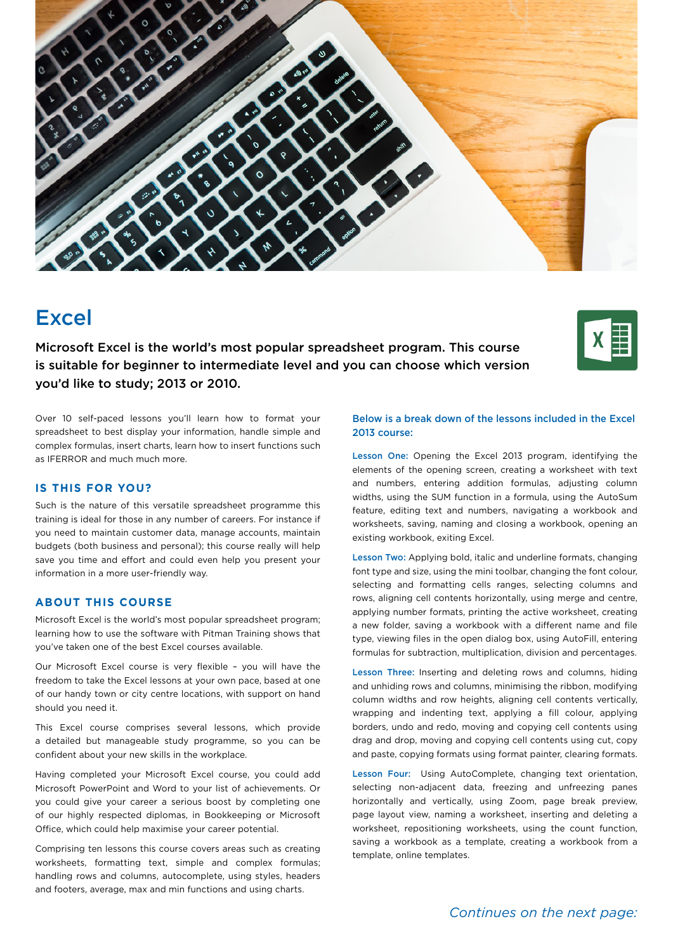

# Excel

Microsoft Excel is the world's most popular spreadsheet program. This course is suitable for beginner to intermediate level and you can choose which version you'd like to study; 2013 or 2010.



Over 10 self-paced lessons you'll learn how to format your spreadsheet to best display your information, handle simple and complex formulas, insert charts, learn how to insert functions such as IFERROR and much much more.

#### **IS THIS FOR YOU?**

Such is the nature of this versatile spreadsheet programme this training is ideal for those in any number of careers. For instance if you need to maintain customer data, manage accounts, maintain budgets (both business and personal); this course really will help save you time and effort and could even help you present your information in a more user-friendly way.

## **ABOUT THIS COURSE**

Microsoft Excel is the world's most popular spreadsheet program; learning how to use the software with Pitman Training shows that you've taken one of the best Excel courses available.

Our Microsoft Excel course is very flexible – you will have the freedom to take the Excel lessons at your own pace, based at one of our handy town or city centre locations, with support on hand should you need it.

This Excel course comprises several lessons, which provide a detailed but manageable study programme, so you can be confident about your new skills in the workplace.

Having completed your Microsoft Excel course, you could add Microsoft PowerPoint and Word to your list of achievements. Or you could give your career a serious boost by completing one of our highly respected diplomas, in Bookkeeping or Microsoft Office, which could help maximise your career potential.

Comprising ten lessons this course covers areas such as creating worksheets, formatting text, simple and complex formulas; handling rows and columns, autocomplete, using styles, headers and footers, average, max and min functions and using charts.

#### Below is a break down of the lessons included in the Excel 2013 course:

Lesson One: Opening the Excel 2013 program, identifying the elements of the opening screen, creating a worksheet with text and numbers, entering addition formulas, adjusting column widths, using the SUM function in a formula, using the AutoSum feature, editing text and numbers, navigating a workbook and worksheets, saving, naming and closing a workbook, opening an existing workbook, exiting Excel.

Lesson Two: Applying bold, italic and underline formats, changing font type and size, using the mini toolbar, changing the font colour, selecting and formatting cells ranges, selecting columns and rows, aligning cell contents horizontally, using merge and centre, applying number formats, printing the active worksheet, creating a new folder, saving a workbook with a different name and file type, viewing files in the open dialog box, using AutoFill, entering formulas for subtraction, multiplication, division and percentages.

Lesson Three: Inserting and deleting rows and columns, hiding and unhiding rows and columns, minimising the ribbon, modifying column widths and row heights, aligning cell contents vertically, wrapping and indenting text, applying a fill colour, applying borders, undo and redo, moving and copying cell contents using drag and drop, moving and copying cell contents using cut, copy and paste, copying formats using format painter, clearing formats.

Lesson Four: Using AutoComplete, changing text orientation, selecting non-adjacent data, freezing and unfreezing panes horizontally and vertically, using Zoom, page break preview, page layout view, naming a worksheet, inserting and deleting a worksheet, repositioning worksheets, using the count function, saving a workbook as a template, creating a workbook from a template, online templates.